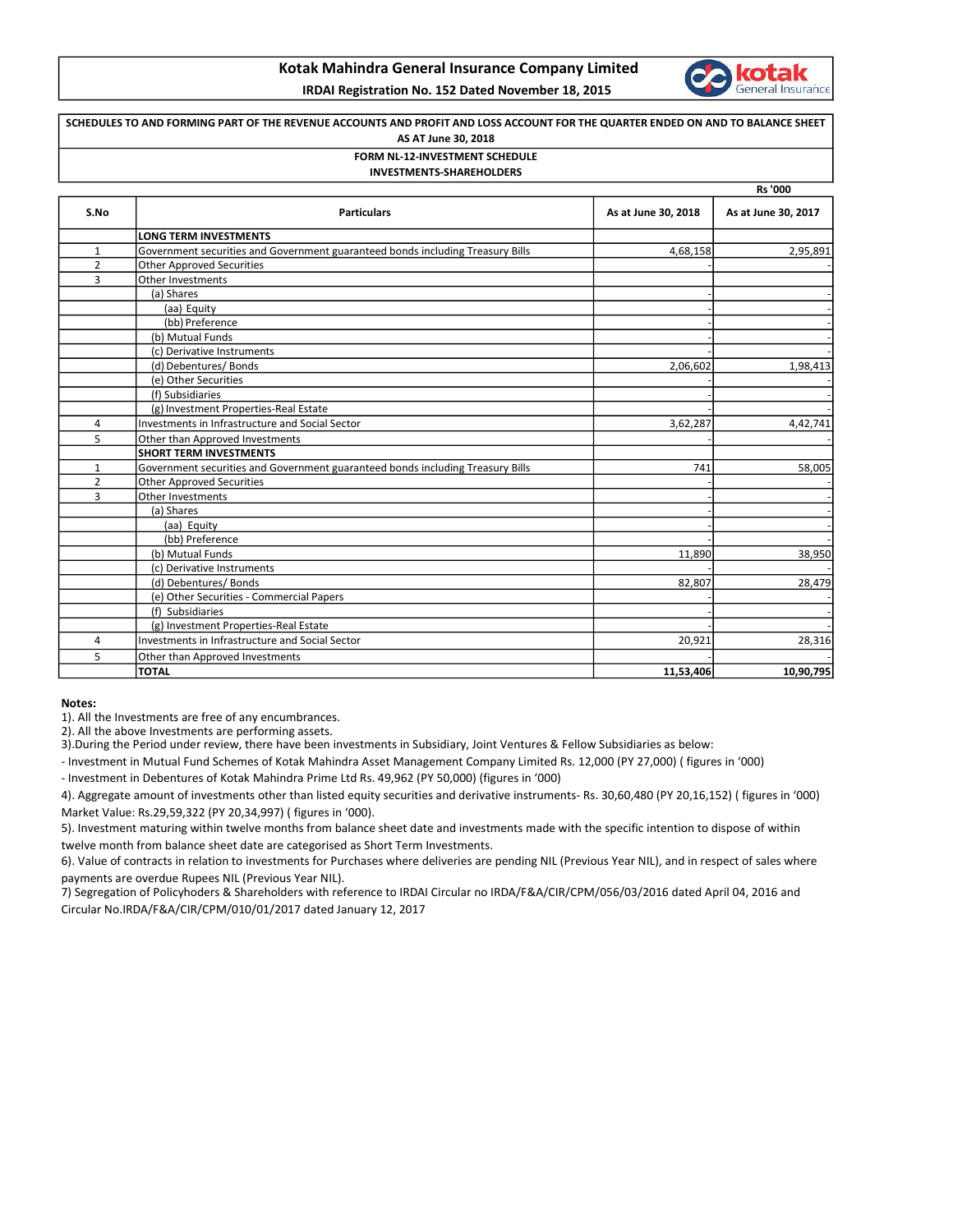## Kotak Mahindra General Insurance Company Limited



IRDAI Registration No. 152 Dated November 18, 2015

## SCHEDULES TO AND FORMING PART OF THE REVENUE ACCOUNTS AND PROFIT AND LOSS ACCOUNT FOR THE QUARTER ENDED ON AND TO BALANCE SHEET AS AT June 30, 2018 FORM NL-12-INVESTMENT SCHEDULE

INVESTMENTS-SHAREHOLDERS

|                |                                                                                |                     | Rs '000             |
|----------------|--------------------------------------------------------------------------------|---------------------|---------------------|
| S.No           | <b>Particulars</b>                                                             | As at June 30, 2018 | As at June 30, 2017 |
|                | <b>LONG TERM INVESTMENTS</b>                                                   |                     |                     |
| $\mathbf{1}$   | Government securities and Government guaranteed bonds including Treasury Bills | 4,68,158            | 2,95,891            |
| $\overline{2}$ | <b>Other Approved Securities</b>                                               |                     |                     |
| 3              | Other Investments                                                              |                     |                     |
|                | (a) Shares                                                                     |                     |                     |
|                | (aa) Equity                                                                    |                     |                     |
|                | (bb) Preference                                                                |                     |                     |
|                | (b) Mutual Funds                                                               |                     |                     |
|                | (c) Derivative Instruments                                                     |                     |                     |
|                | (d) Debentures/Bonds                                                           | 2,06,602            | 1,98,413            |
|                | (e) Other Securities                                                           |                     |                     |
|                | (f) Subsidiaries                                                               |                     |                     |
|                | (g) Investment Properties-Real Estate                                          |                     |                     |
| 4              | Investments in Infrastructure and Social Sector                                | 3,62,287            | 4,42,741            |
| 5              | Other than Approved Investments                                                |                     |                     |
|                | <b>SHORT TERM INVESTMENTS</b>                                                  |                     |                     |
| 1              | Government securities and Government guaranteed bonds including Treasury Bills | 741                 | 58,005              |
| $\overline{2}$ | <b>Other Approved Securities</b>                                               |                     |                     |
| 3              | Other Investments                                                              |                     |                     |
|                | (a) Shares                                                                     |                     |                     |
|                | (aa) Equity                                                                    |                     |                     |
|                | (bb) Preference                                                                |                     |                     |
|                | (b) Mutual Funds                                                               | 11,890              | 38,950              |
|                | (c) Derivative Instruments                                                     |                     |                     |
|                | (d) Debentures/ Bonds                                                          | 82,807              | 28,479              |
|                | (e) Other Securities - Commercial Papers                                       |                     |                     |
|                | (f) Subsidiaries                                                               |                     |                     |
|                | (g) Investment Properties-Real Estate                                          |                     |                     |
| 4              | <b>Investments in Infrastructure and Social Sector</b>                         | 20,921              | 28,316              |
| 5              | Other than Approved Investments                                                |                     |                     |
|                | <b>TOTAL</b>                                                                   | 11,53,406           | 10,90,795           |

Notes:

1). All the Investments are free of any encumbrances.

2). All the above Investments are performing assets.

3).During the Period under review, there have been investments in Subsidiary, Joint Ventures & Fellow Subsidiaries as below:

- Investment in Mutual Fund Schemes of Kotak Mahindra Asset Management Company Limited Rs. 12,000 (PY 27,000) ( figures in '000)

- Investment in Debentures of Kotak Mahindra Prime Ltd Rs. 49,962 (PY 50,000) (figures in '000)

4). Aggregate amount of investments other than listed equity securities and derivative instruments- Rs. 30,60,480 (PY 20,16,152) ( figures in '000) Market Value: Rs.29,59,322 (PY 20,34,997) ( figures in '000).

5). Investment maturing within twelve months from balance sheet date and investments made with the specific intention to dispose of within twelve month from balance sheet date are categorised as Short Term Investments.

6). Value of contracts in relation to investments for Purchases where deliveries are pending NIL (Previous Year NIL), and in respect of sales where payments are overdue Rupees NIL (Previous Year NIL).

7) Segregation of Policyhoders & Shareholders with reference to IRDAI Circular no IRDA/F&A/CIR/CPM/056/03/2016 dated April 04, 2016 and Circular No.IRDA/F&A/CIR/CPM/010/01/2017 dated January 12, 2017